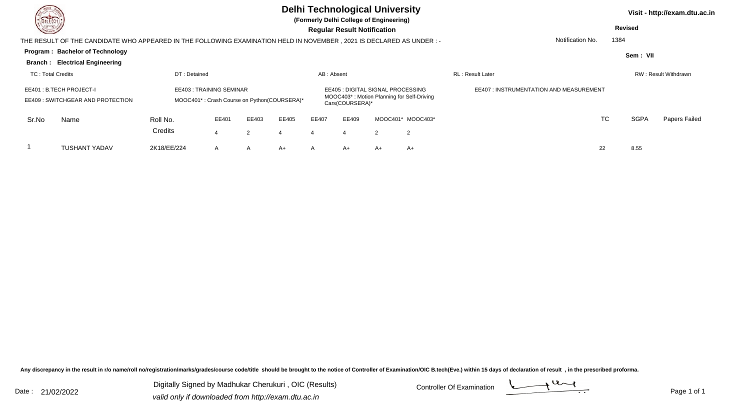| DEL TECH                                                    |                                                                                                                      | <b>Delhi Technological University</b><br>(Formerly Delhi College of Engineering) |                         |       |                                             |              |                                                      |                |                                            |                                               | Visit - http://exam.dtu.ac.in |             |                      |  |  |
|-------------------------------------------------------------|----------------------------------------------------------------------------------------------------------------------|----------------------------------------------------------------------------------|-------------------------|-------|---------------------------------------------|--------------|------------------------------------------------------|----------------|--------------------------------------------|-----------------------------------------------|-------------------------------|-------------|----------------------|--|--|
| <b>State of Society</b>                                     |                                                                                                                      |                                                                                  |                         |       |                                             |              | <b>Regular Result Notification</b>                   |                |                                            |                                               | <b>Revised</b>                |             |                      |  |  |
|                                                             | THE RESULT OF THE CANDIDATE WHO APPEARED IN THE FOLLOWING EXAMINATION HELD IN NOVEMBER, 2021 IS DECLARED AS UNDER :- |                                                                                  |                         |       |                                             |              |                                                      |                |                                            | Notification No.                              |                               | 1384        |                      |  |  |
|                                                             | Program: Bachelor of Technology                                                                                      |                                                                                  |                         |       |                                             |              |                                                      |                |                                            |                                               |                               | Sem: VII    |                      |  |  |
|                                                             | <b>Branch: Electrical Engineering</b>                                                                                |                                                                                  |                         |       |                                             |              |                                                      |                |                                            |                                               |                               |             |                      |  |  |
| TC: Total Credits                                           |                                                                                                                      | DT: Detained                                                                     |                         |       |                                             | AB: Absent   |                                                      |                |                                            | <b>RL</b> : Result Later                      |                               |             | RW: Result Withdrawn |  |  |
| EE401: B.TECH PROJECT-I<br>EE409: SWITCHGEAR AND PROTECTION |                                                                                                                      |                                                                                  | EE403: TRAINING SEMINAR |       | MOOC401*: Crash Course on Python(COURSERA)* |              | EE405 : DIGITAL SIGNAL PROCESSING<br>Cars(COURSERA)* |                | MOOC403*: Motion Planning for Self-Driving | <b>EE407: INSTRUMENTATION AND MEASUREMENT</b> |                               |             |                      |  |  |
| Sr.No                                                       | Name                                                                                                                 | Roll No.                                                                         | EE401                   | EE403 | EE405                                       | EE407        | EE409                                                |                | MOOC401* MOOC403*                          |                                               | TC                            | <b>SGPA</b> | Papers Failed        |  |  |
|                                                             |                                                                                                                      | Credits                                                                          |                         | 2     |                                             | 4            |                                                      | $\overline{2}$ | 2                                          |                                               |                               |             |                      |  |  |
|                                                             | <b>TUSHANT YADAV</b>                                                                                                 | 2K18/EE/224                                                                      | A                       | A     | A+                                          | $\mathsf{A}$ | A+                                                   | $A+$           | $A+$                                       |                                               | 22                            | 8.55        |                      |  |  |

Any discrepancy in the result in r/o name/roll no/registration/marks/grades/course code/title should be brought to the notice of Controller of Examination/OIC B.tech(Eve.) within 15 days of declaration of result ,in the p

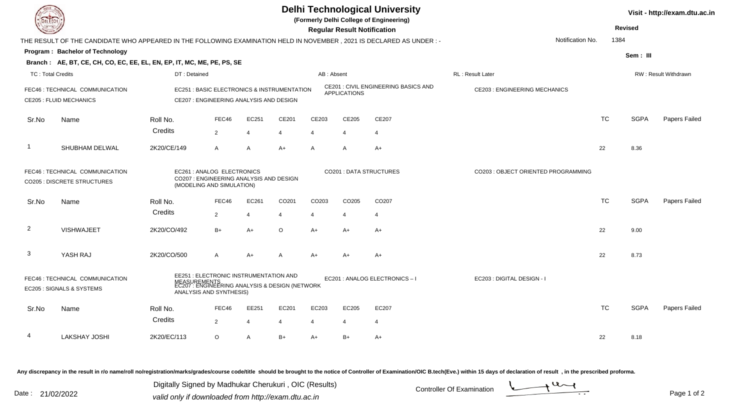| DEL TECH                                                                                                                                                                                            |                                                                                                                     |                                                         |                                         |                                             |                                    |                               |                                            | <b>Delhi Technological University</b><br>(Formerly Delhi College of Engineering) |                            |           |             | Visit - http://exam.dtu.ac.in |
|-----------------------------------------------------------------------------------------------------------------------------------------------------------------------------------------------------|---------------------------------------------------------------------------------------------------------------------|---------------------------------------------------------|-----------------------------------------|---------------------------------------------|------------------------------------|-------------------------------|--------------------------------------------|----------------------------------------------------------------------------------|----------------------------|-----------|-------------|-------------------------------|
|                                                                                                                                                                                                     |                                                                                                                     |                                                         |                                         |                                             | <b>Regular Result Notification</b> |                               |                                            |                                                                                  | <b>Revised</b>             |           |             |                               |
|                                                                                                                                                                                                     | THE RESULT OF THE CANDIDATE WHO APPEARED IN THE FOLLOWING EXAMINATION HELD IN NOVEMBER, 2021 IS DECLARED AS UNDER:- |                                                         |                                         |                                             |                                    |                               |                                            |                                                                                  | Notification No.           |           | 1384        |                               |
|                                                                                                                                                                                                     | Program: Bachelor of Technology                                                                                     |                                                         |                                         |                                             |                                    |                               |                                            |                                                                                  |                            |           | Sem: III    |                               |
|                                                                                                                                                                                                     | Branch: AE, BT, CE, CH, CO, EC, EE, EL, EN, EP, IT, MC, ME, PE, PS, SE                                              |                                                         |                                         |                                             |                                    |                               |                                            |                                                                                  |                            |           |             |                               |
| <b>TC: Total Credits</b>                                                                                                                                                                            |                                                                                                                     | DT: Detained                                            |                                         |                                             | AB: Absent                         |                               |                                            | RL : Result Later                                                                | RW: Result Withdrawn       |           |             |                               |
| FEC46 : TECHNICAL COMMUNICATION<br><b>CE205 : FLUID MECHANICS</b>                                                                                                                                   |                                                                                                                     |                                                         | CE207 : ENGINEERING ANALYSIS AND DESIGN | EC251 : BASIC ELECTRONICS & INSTRUMENTATION |                                    | <b>APPLICATIONS</b>           | <b>CE201: CIVIL ENGINEERING BASICS AND</b> | <b>CE203: ENGINEERING MECHANICS</b>                                              |                            |           |             |                               |
| Sr.No                                                                                                                                                                                               | Name                                                                                                                | Roll No.                                                | FEC46                                   | EC251                                       | CE201                              | CE203                         | CE205                                      | CE207                                                                            |                            | <b>TC</b> | <b>SGPA</b> | Papers Failed                 |
|                                                                                                                                                                                                     |                                                                                                                     | Credits                                                 | 2                                       | $\overline{4}$                              | 4                                  | $\overline{4}$                | $\overline{4}$                             | $\overline{4}$                                                                   |                            |           |             |                               |
|                                                                                                                                                                                                     | SHUBHAM DELWAL                                                                                                      | 2K20/CE/149                                             | $\overline{A}$                          | $\mathsf{A}$                                | $A+$                               | $\mathsf{A}$                  | A                                          | $A+$                                                                             |                            | 22        | 8.36        |                               |
|                                                                                                                                                                                                     | FEC46 : TECHNICAL COMMUNICATION<br><b>CO205 : DISCRETE STRUCTURES</b>                                               | EC261 : ANALOG ELECTRONICS<br>(MODELING AND SIMULATION) | CO207 : ENGINEERING ANALYSIS AND DESIGN |                                             |                                    | <b>CO201: DATA STRUCTURES</b> | CO203 : OBJECT ORIENTED PROGRAMMING        |                                                                                  |                            |           |             |                               |
| Sr.No                                                                                                                                                                                               | Name                                                                                                                | Roll No.                                                | FEC46                                   | EC261                                       | CO201                              | CO203                         | CO205                                      | CO <sub>207</sub>                                                                |                            | <b>TC</b> | <b>SGPA</b> | Papers Failed                 |
|                                                                                                                                                                                                     |                                                                                                                     | Credits                                                 | $\overline{2}$                          | $\overline{4}$                              | 4                                  | $\overline{4}$                | $\overline{\mathbf{4}}$                    | $\overline{4}$                                                                   |                            |           |             |                               |
| $\overline{2}$                                                                                                                                                                                      | <b>VISHWAJEET</b>                                                                                                   | 2K20/CO/492                                             | $B+$                                    | $A+$                                        | $\circ$                            | $A+$                          | $A+$                                       | A+                                                                               |                            | 22        | 9.00        |                               |
| 3                                                                                                                                                                                                   | YASH RAJ                                                                                                            | 2K20/CO/500                                             | $\overline{A}$                          | $A+$                                        | A                                  | $A+$                          | A+                                         | $A+$                                                                             |                            | 22        | 8.73        |                               |
| EE251 : ELECTRONIC INSTRUMENTATION AND<br>FEC46 : TECHNICAL COMMUNICATION<br>MEASUREMENTS<br>EC207 : ENGINEERING ANALYSIS & DESIGN (NETWORK<br>EC205 : SIGNALS & SYSTEMS<br>ANALYSIS AND SYNTHESIS) |                                                                                                                     |                                                         |                                         |                                             |                                    |                               |                                            | EC201 : ANALOG ELECTRONICS - I                                                   | EC203 : DIGITAL DESIGN - I |           |             |                               |
| Sr.No                                                                                                                                                                                               | Name                                                                                                                | Roll No.                                                | FEC46                                   | EE251                                       | EC201                              | EC203                         | EC205                                      | EC207                                                                            |                            | <b>TC</b> | <b>SGPA</b> | Papers Failed                 |
|                                                                                                                                                                                                     |                                                                                                                     | Credits                                                 | 2                                       | 4                                           | 4                                  | $\boldsymbol{\Delta}$         |                                            | 4                                                                                |                            |           |             |                               |
|                                                                                                                                                                                                     | <b>LAKSHAY JOSHI</b>                                                                                                | 2K20/EC/113                                             | $\circ$                                 | $\mathsf{A}$                                | $B+$                               | $A+$                          | B+                                         | A+                                                                               |                            | 22        | 8.18        |                               |

Any discrepancy in the result in r/o name/roll no/registration/marks/grades/course code/title should be brought to the notice of Controller of Examination/OIC B.tech(Eve.) within 15 days of declaration of result ,in the p

Digitally Signed by Madhukar Cherukuri, OIC (Results)<br>Date : 21/02/2022 valid only if downloaded from http://oxam.dtu.ac.in Digitally Signed by Madhukar Cherukuri , OIC (Results)valid only if downloaded from http://exam.dtu.ac.in